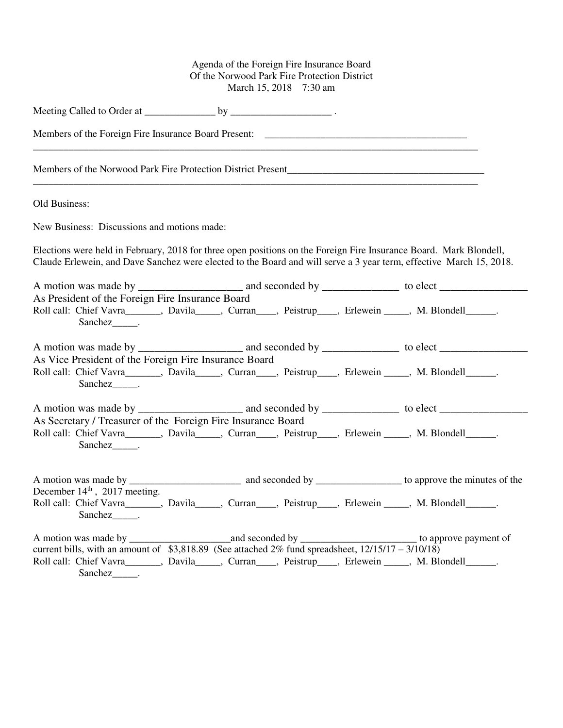## Agenda of the Foreign Fire Insurance Board Of the Norwood Park Fire Protection District March 15, 2018 7:30 am

| Old Business:                                                                                                                                                                                                                             |  |
|-------------------------------------------------------------------------------------------------------------------------------------------------------------------------------------------------------------------------------------------|--|
| New Business: Discussions and motions made:                                                                                                                                                                                               |  |
| Elections were held in February, 2018 for three open positions on the Foreign Fire Insurance Board. Mark Blondell,<br>Claude Erlewein, and Dave Sanchez were elected to the Board and will serve a 3 year term, effective March 15, 2018. |  |
| As President of the Foreign Fire Insurance Board<br>Roll call: Chief Vavra______, Davila____, Curran___, Peistrup___, Erlewein ____, M. Blondell_____.<br>Sanchez _______.                                                                |  |
| As Vice President of the Foreign Fire Insurance Board<br>Roll call: Chief Vavra______, Davila____, Curran___, Peistrup___, Erlewein ____, M. Blondell_____.<br>Sanchez .                                                                  |  |
| As Secretary / Treasurer of the Foreign Fire Insurance Board<br>Roll call: Chief Vavra______, Davila____, Curran___, Peistrup___, Erlewein ____, M. Blondell_____.<br>Sanchez <sub>_____</sub> .                                          |  |
| December $14th$ , 2017 meeting.<br>Roll call: Chief Vavra______, Davila____, Curran___, Peistrup___, Erlewein ____, M. Blondell_____.<br>Sanchez_______.                                                                                  |  |
| current bills, with an amount of \$3,818.89 (See attached $2\%$ fund spreadsheet, $12/15/17 - 3/10/18$ )<br>Roll call: Chief Vavra______, Davila____, Curran___, Peistrup___, Erlewein ____, M. Blondell_____.<br>Sanchez_______.         |  |